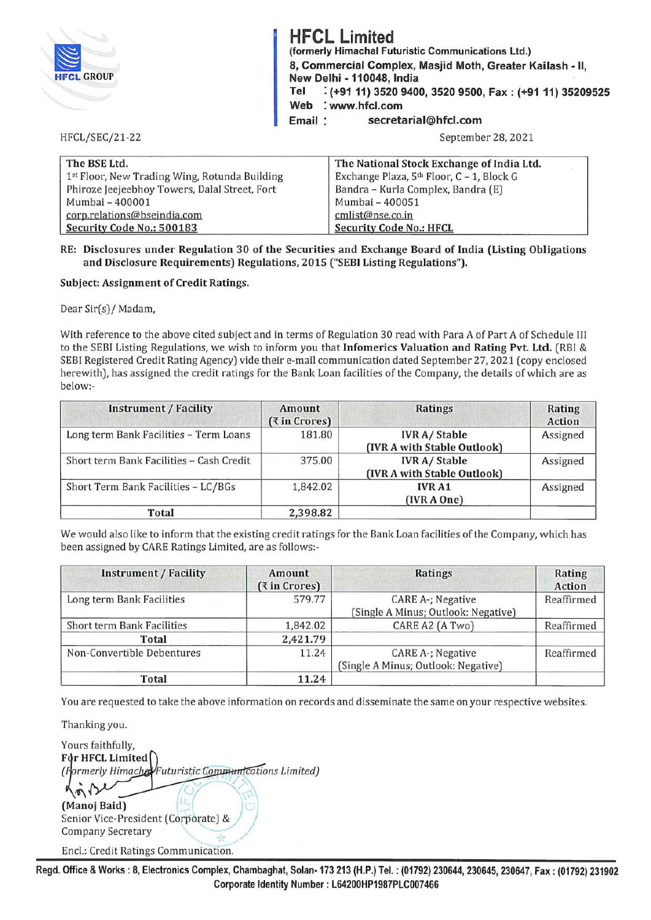| <b>HFCL GROUP</b>     | <b>HFCL Limited</b><br>(formerly Himachal Futuristic Communications Ltd.)<br>8, Commercial Complex, Masjid Moth, Greater Kailash - II,<br>New Delhi - 110048, India<br>: (+91 11) 3520 9400, 3520 9500, Fax: (+91 11) 35209525<br>Tel<br>Web<br>: www.hfcl.com<br>secretarial@hfcl.com<br>Email: |
|-----------------------|--------------------------------------------------------------------------------------------------------------------------------------------------------------------------------------------------------------------------------------------------------------------------------------------------|
| <b>HFCL/SEC/21-22</b> | September 28, 2021                                                                                                                                                                                                                                                                               |

| The BSE Ltd.                                  | The National Stock Exchange of India Ltd.             |
|-----------------------------------------------|-------------------------------------------------------|
| 1st Floor, New Trading Wing, Rotunda Building | Exchange Plaza, 5 <sup>th</sup> Floor, C - 1, Block G |
| Phiroze Jeejeebhoy Towers, Dalal Street, Fort | Bandra - Kurla Complex, Bandra (E)                    |
| Mumbai - 400001                               | Mumbai - 400051                                       |
| corp.relations@bseindia.com                   | cmlist@nse.co.in                                      |
| Security Code No.: 500183                     | <b>Security Code No.: HFCL</b>                        |

## **RE: Disclosures under Regulation 30 of the Securities and Exchange Board of India (Listing Obligations and Disclosure Requirements) Regulations, 2015 ("SEBI Listing Regulations").**

### **Subject: Assignment of Credit Ratings.**

Dear Sir(s)/ Madam,

With reference to the above cited subject and in terms of Regulation 30 read with Para A of Part A of Schedule III to the SEBI Listing Regulations, we wish to inform you that **lnfomerics Valuation and Rating Pvt. Ltd.** (RBI & SEBI Registered Credit Rating Agency) vide their e-mail communication dated September 27, 2021 ( copy enclosed herewith), has assigned the credit ratings for the Bank Loan facilities of the Company, the details of which are as below:-

| <b>Instrument / Facility</b>             | Amount<br>(₹ in Crores) | <b>Ratings</b>                                      | Rating<br><b>Action</b> |
|------------------------------------------|-------------------------|-----------------------------------------------------|-------------------------|
| Long term Bank Facilities - Term Loans   | 181.80                  | <b>IVR A/Stable</b><br>(IVR A with Stable Outlook)  | Assigned                |
| Short term Bank Facilities - Cash Credit | 375.00                  | <b>IVR A/ Stable</b><br>(IVR A with Stable Outlook) | Assigned                |
| Short Term Bank Facilities - LC/BGs      | 1,842.02                | <b>IVRA1</b><br>(IVR A One)                         | Assigned                |
| Total                                    | 2,398.82                |                                                     |                         |

We would also like to inform that the existing credit ratings for the Bank Loan facilities of the Company, which has been assigned by CARE Ratings Limited, are as follows:-

| <b>Instrument / Facility</b> | Amount<br>(₹ in Crores) | Ratings                                                  | Rating<br>Action |
|------------------------------|-------------------------|----------------------------------------------------------|------------------|
| Long term Bank Facilities    | 579.77                  | CARE A-; Negative<br>(Single A Minus; Outlook: Negative) | Reaffirmed       |
| Short term Bank Facilities   | 1,842.02                | CARE A2 (A Two)                                          | Reaffirmed       |
| Total                        | 2,421.79                |                                                          |                  |
| Non-Convertible Debentures   | 11.24                   | CARE A-; Negative<br>(Single A Minus; Outlook: Negative) | Reaffirmed       |
| Total                        | 11.24                   |                                                          |                  |

You are requested to take the above information on records and disseminate the same on your respective websites.

Thanking you.

" Yours faithfully, **Fdr HFCL Limited** *( rmerly Himach ns Limited)*   $\eta$ **(Manoj Baid)** · *':(* ,. (Manoj Baid)<br>Senior Vice-President (Corporate) & **JU** Company Secretary \_·. ,.

Encl.: Credit Ratings Communication.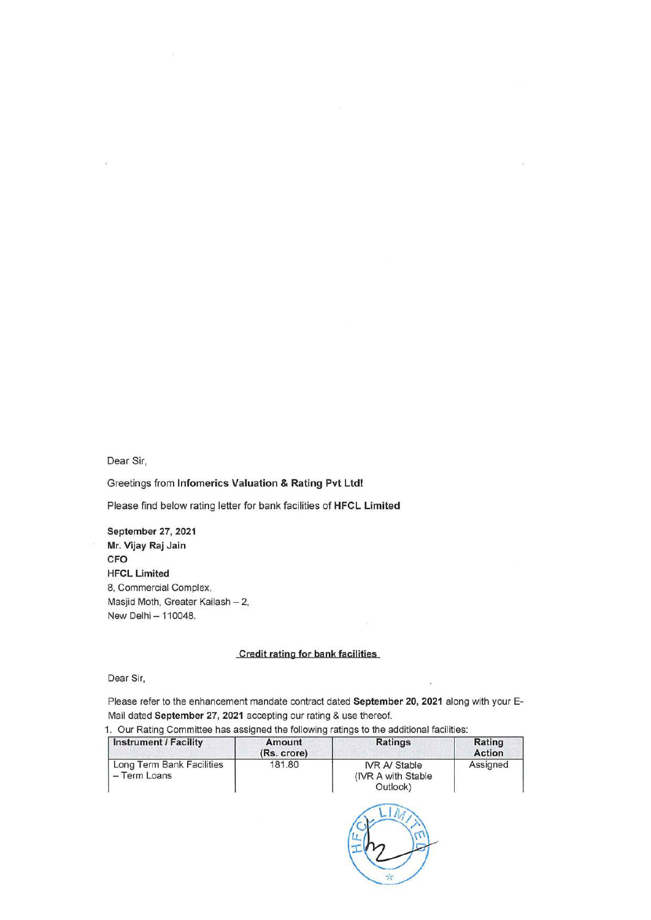Dear Sir,

Greetings from **lnfomerics Valuation & Rating Pvt Ltd!** 

Please find below rating letter for bank facilities of **HFCL Limited** 

**September 27, 2021 Mr. Vijay Raj Jain CFO HFCL Limited**  8, Commercial Complex, Masjid Moth, Greater Kailash - 2, New Delhi - 110048.

### **Credit rating for bank facilities**

Dear Sir,

Please refer to the enhancement mandate contract dated **September 20, 2021** along with your E-Mail dated **September 27, 2021** accepting our rating & use thereof.

| Instrument / Facility                     | Amount<br>(Rs. crore) | Ratings                                                 | <b>Rating</b><br><b>Action</b> |
|-------------------------------------------|-----------------------|---------------------------------------------------------|--------------------------------|
| Long Term Bank Facilities<br>- Term Loans | 181.80                | <b>IVR A/ Stable</b><br>(IVR A with Stable)<br>Outlook) | Assigned                       |

1. Our Rating Committee has assigned the following ratings to the additional facilities:

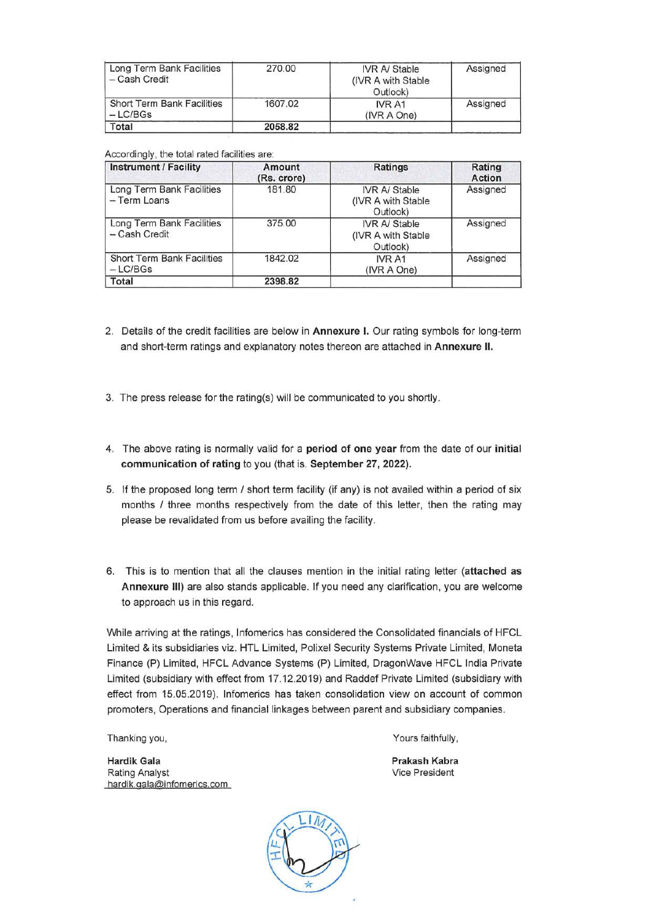| Long Term Bank Facilities<br>- Cash Credit     | 270.00  | <b>IVR A/ Stable</b><br>(IVR A with Stable)<br>Outlook) | Assigned |
|------------------------------------------------|---------|---------------------------------------------------------|----------|
| <b>Short Term Bank Facilities</b><br>$-LC/BGs$ | 1607.02 | IVR A1<br>(IVR A One)                                   | Assigned |
| Total                                          | 2058.82 |                                                         |          |

### Accordingly, the total rated facilities are:

| <b>Instrument / Facility</b>               | Amount<br>(Rs. crore) | <b>Ratings</b>                                          | Rating<br><b>Action</b> |
|--------------------------------------------|-----------------------|---------------------------------------------------------|-------------------------|
| Long Term Bank Facilities<br>- Term Loans  | 181.80                | <b>IVR A/ Stable</b><br>(IVR A with Stable)<br>Outlook) | Assigned                |
| Long Term Bank Facilities<br>- Cash Credit | 375.00                | <b>IVR A/ Stable</b><br>(IVR A with Stable)<br>Outlook) | Assigned                |
| Short Term Bank Facilities<br>$-LC/BGs$    | 1842.02               | IVR A1<br>(IVR A One)                                   | Assigned                |
| Total                                      | 2398.82               |                                                         |                         |

- 2. Details of the credit facilities are below in **Annexure** I. Our rating symbols for long-term and short-term ratings and explanatory notes thereon are attached in **Annexure** II.
- 3. The press release for the rating(s) will be communicated to you shortly.
- 4. The above rating is normally valid for a **period of one year** from the date of our **initial communication of rating** to you (that is. **September 27, 2022).**
- 5. If the proposed long term / short term facility (if any) is not availed within a period of six months / three months respectively from the date of this letter, then the rating may please be revalidated from us before availing the facility.
- 6. This is to mention that all the clauses mention in the initial rating letter **(attached as Annexure Ill)** are also stands applicable. If you need any clarification, you are welcome to approach us in this regard.

While arriving at the ratings, lnfomerics has considered the Consolidated financials of HFCL Limited & its subsidiaries viz. HTL Limited, Polixel Security Systems Private Limited, Moneta Finance (P) Limited, HFCL Advance Systems (P) Limited, DragonWave HFCL India Private Limited (subsidiary with effect from 17.12.2019) and Raddef Private Limited (subsidiary with effect from 15.05.2019). lnfomerics has taken consolidation view on account of common promoters, Operations and financial linkages between parent and subsidiary companies.

Thanking you,

**Hardik Gala**  Rating Analyst hardik.gala@infomerics.com Yours faithfully,

**Prakash Kabra**  Vice President

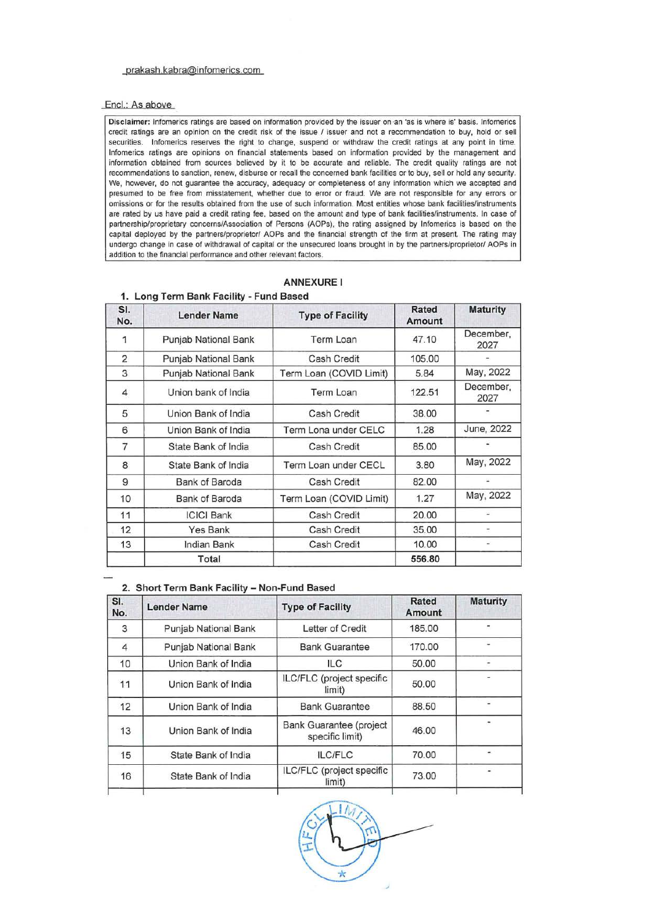#### prakash kabra@infomerics.com

#### Encl.: As above

Disclaimer: lnfomerics ratings are based on information provided by the issuer on an 'as is where is' basis. lnfomerics credit ratings are an opinion on the credit risk of the issue / issuer and not a recommendation to buy, hold or sell securities. Infomerics reserves the right to change, suspend or withdraw the credit ratings at any point in time. lnfomerics ratings are opinions on financial statements based on information provided by the management and information obtained from sources believed by it to be accurate and reliable. The credit quality ratings are not recommendations to sanction, renew, disburse or recall the concerned bank facilities or to buy, sell or hold any security. We, however, do not guarantee the accuracy, adequacy or completeness of any information which we accepted and presumed to be free from misstatement, whether due to error or fraud. We are not responsible for any errors or omissions or for the results obtained from the use of such information. Most entities whose bank facilities/instruments are rated by us have paid **a** credit rating fee, based on the amount and type of bank facilities/instruments. In case of partnership/proprietary concerns/Association of Persons (AOPs), the rating assigned by lnfomerics is based on the capital deployed by the partners/proprietor/ AOPs and the financial strength of the firm at present. The rating may undergo change in case of withdrawal of capital or the unsecured loans brought in by the partners/proprietor/ AOPs in addition to the financial performance and other relevant factors.

# **ANNEXUREI**

| SI.<br>No.     | <b>Lender Name</b>   | <b>Type of Facility</b> | <b>Rated</b><br>Amount | <b>Maturity</b>   |
|----------------|----------------------|-------------------------|------------------------|-------------------|
| 1              | Punjab National Bank | Term Loan               | 47.10                  | December,<br>2027 |
| 2              | Punjab National Bank | Cash Credit             | 105.00                 |                   |
| 3              | Punjab National Bank | Term Loan (COVID Limit) | 5.84                   | May, 2022         |
| $\overline{4}$ | Union bank of India  | Term Loan               | 122.51                 | December,<br>2027 |
| 5              | Union Bank of India  | Cash Credit             | 38.00                  |                   |
| 6              | Union Bank of India  | Term Lona under CELC    | 1.28                   | June, 2022        |
| $\overline{7}$ | State Bank of India  | Cash Credit             | 85.00                  |                   |
| 8              | State Bank of India  | Term Loan under CECL    | 3.80                   | May, 2022         |
| 9              | Bank of Baroda       | Cash Credit             | 82.00                  | i.                |
| 10             | Bank of Baroda       | Term Loan (COVID Limit) | 1.27                   | May, 2022         |
| 11             | <b>ICICI Bank</b>    | <b>Cash Credit</b>      | 20.00                  |                   |
| 12             | <b>Yes Bank</b>      | Cash Credit             | 35.00                  |                   |
| 13             | Indian Bank          | Cash Credit             | 10.00                  | ۰                 |
|                | Total                |                         | 556.80                 |                   |

# **1. Long Term Bank Facility - Fund Based**

#### **2. Short Term Bank Facility - Non-Fund Based**

| SI.<br>No.     | <b>Lender Name</b>   | <b>Type of Facility</b>                    | Rated<br>Amount | <b>Maturity</b> |
|----------------|----------------------|--------------------------------------------|-----------------|-----------------|
| 3              | Punjab National Bank | Letter of Credit                           | 185.00          |                 |
| $\overline{4}$ | Punjab National Bank | <b>Bank Guarantee</b>                      | 170.00          |                 |
| 10             | Union Bank of India  | <b>ILC</b>                                 | 50.00           |                 |
| 11             | Union Bank of India  | ILC/FLC (project specific<br>limit)        | 50.00           |                 |
| 12             | Union Bank of India  | <b>Bank Guarantee</b>                      | 88.50           |                 |
| 13             | Union Bank of India  | Bank Guarantee (project<br>specific limit) | 46.00           |                 |
| 15             | State Bank of India  | ILC/FLC                                    | 70.00           |                 |
| 16             | State Bank of India  | ILC/FLC (project specific<br>limit)        | 73.00           |                 |
|                |                      |                                            |                 |                 |

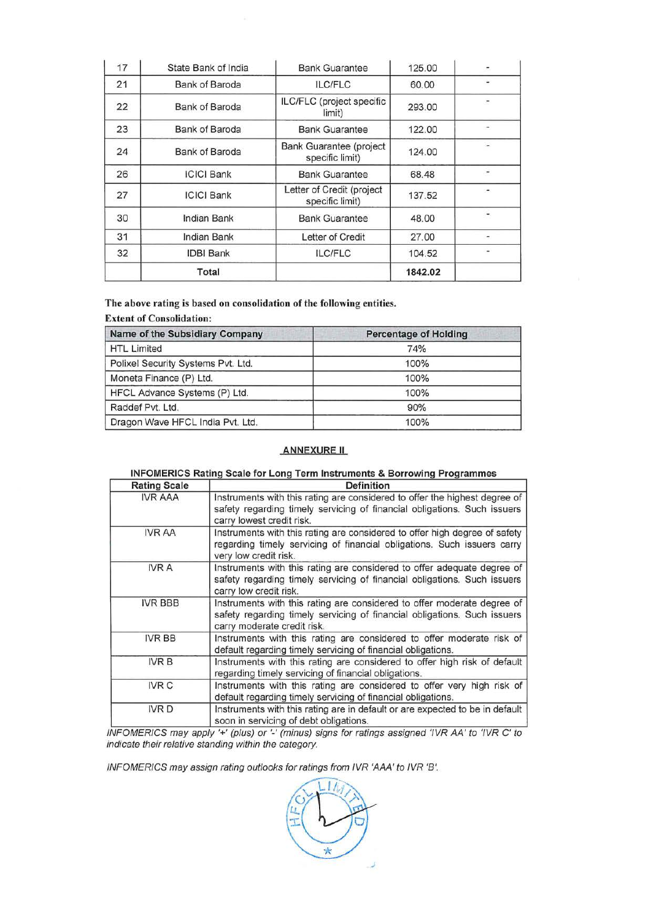| 17 | State Bank of India   | <b>Bank Guarantee</b>                        | 125.00  |                          |
|----|-----------------------|----------------------------------------------|---------|--------------------------|
| 21 | Bank of Baroda        | <b>ILC/FLC</b>                               | 60.00   |                          |
| 22 | Bank of Baroda        | ILC/FLC (project specific<br>limit)          | 293.00  |                          |
| 23 | <b>Bank of Baroda</b> | <b>Bank Guarantee</b>                        | 122.00  |                          |
| 24 | Bank of Baroda        | Bank Guarantee (project<br>specific limit)   | 124.00  |                          |
| 26 | <b>ICICI Bank</b>     | <b>Bank Guarantee</b>                        | 68.48   | $\overline{\phantom{a}}$ |
| 27 | <b>ICICI Bank</b>     | Letter of Credit (project<br>specific limit) | 137.52  |                          |
| 30 | Indian Bank           | <b>Bank Guarantee</b>                        | 48.00   |                          |
| 31 | Indian Bank           | Letter of Credit                             | 27.00   | ۰                        |
| 32 | <b>IDBI</b> Bank      | <b>ILC/FLC</b>                               | 104.52  |                          |
|    | Total                 |                                              | 1842.02 |                          |

**The above rating is based on consolidation of the following entities.** 

# **Extent of Consolidation:**

| Name of the Subsidiary Company     | <b>Percentage of Holding</b> |
|------------------------------------|------------------------------|
| <b>HTL Limited</b>                 | 74%                          |
| Polixel Security Systems Pvt. Ltd. | 100%                         |
| Moneta Finance (P) Ltd.            | 100%                         |
| HFCL Advance Systems (P) Ltd.      | 100%                         |
| Raddef Pvt. Ltd.                   | 90%                          |
| Dragon Wave HFCL India Pvt. Ltd.   | 100%                         |

# **ANNEXURE II**

## **INFOMERICS Rating Scale for Long Term Instruments & Borrowing Programmes**

| <b>Rating Scale</b><br>Definition |                                                                                                                                                                                     |  |
|-----------------------------------|-------------------------------------------------------------------------------------------------------------------------------------------------------------------------------------|--|
| <b>IVR AAA</b>                    | Instruments with this rating are considered to offer the highest degree of<br>safety regarding timely servicing of financial obligations. Such issuers<br>carry lowest credit risk. |  |
| <b>IVR AA</b>                     | Instruments with this rating are considered to offer high degree of safety<br>regarding timely servicing of financial obligations. Such issuers carry<br>very low credit risk.      |  |
| <b>IVR A</b>                      | Instruments with this rating are considered to offer adequate degree of<br>safety regarding timely servicing of financial obligations. Such issuers<br>carry low credit risk.       |  |
| <b>IVR BBB</b>                    | Instruments with this rating are considered to offer moderate degree of<br>safety regarding timely servicing of financial obligations. Such issuers<br>carry moderate credit risk.  |  |
| <b>IVR BB</b>                     | Instruments with this rating are considered to offer moderate risk of<br>default regarding timely servicing of financial obligations.                                               |  |
| <b>IVRB</b>                       | Instruments with this rating are considered to offer high risk of default<br>regarding timely servicing of financial obligations.                                                   |  |
| <b>IVR C</b>                      | Instruments with this rating are considered to offer very high risk of<br>default regarding timely servicing of financial obligations.                                              |  |
| <b>IVRD</b>                       | Instruments with this rating are in default or are expected to be in default<br>soon in servicing of debt obligations.                                                              |  |

INFOMERICS may apply '+' (plus) or '-' (minus) signs for ratings assigned 'IVR AA' to 'IVR C' to indicate their relative standing within the category.

INFOMERICS may assign rating outlooks for ratings from IVR 'AAA' to IVR 'B'.